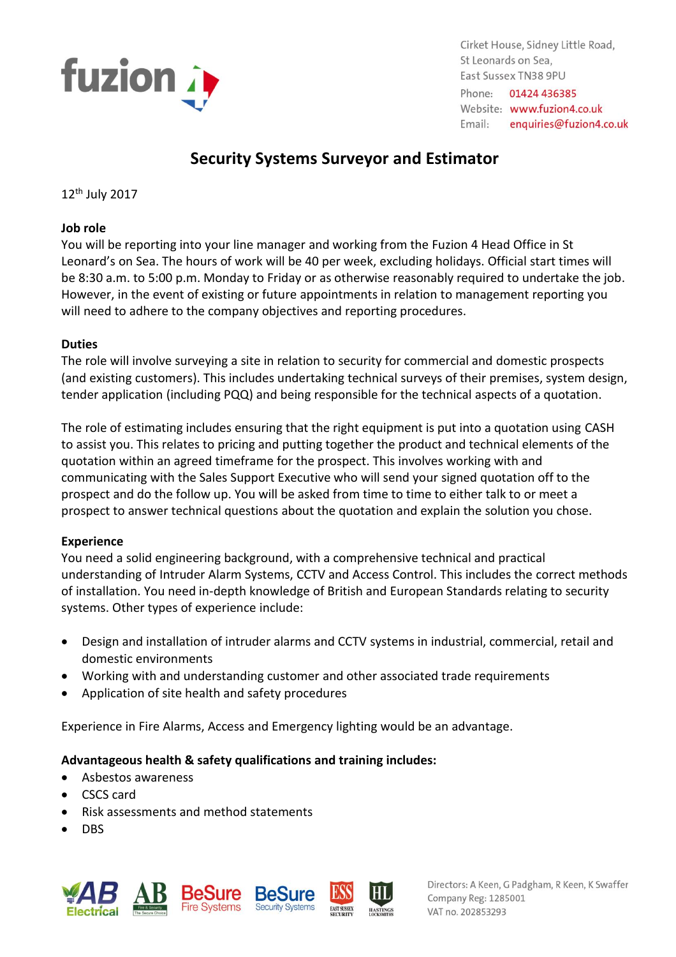

Cirket House, Sidney Little Road, St Leonards on Sea. East Sussex TN38 9PU Phone: 01424 436385 Website: www.fuzion4.co.uk Email: enquiries@fuzion4.co.uk

# **Security Systems Surveyor and Estimator**

12th July 2017

#### **Job role**

You will be reporting into your line manager and working from the Fuzion 4 Head Office in St Leonard's on Sea. The hours of work will be 40 per week, excluding holidays. Official start times will be 8:30 a.m. to 5:00 p.m. Monday to Friday or as otherwise reasonably required to undertake the job. However, in the event of existing or future appointments in relation to management reporting you will need to adhere to the company objectives and reporting procedures.

## **Duties**

The role will involve surveying a site in relation to security for commercial and domestic prospects (and existing customers). This includes undertaking technical surveys of their premises, system design, tender application (including PQQ) and being responsible for the technical aspects of a quotation.

The role of estimating includes ensuring that the right equipment is put into a quotation using CASH to assist you. This relates to pricing and putting together the product and technical elements of the quotation within an agreed timeframe for the prospect. This involves working with and communicating with the Sales Support Executive who will send your signed quotation off to the prospect and do the follow up. You will be asked from time to time to either talk to or meet a prospect to answer technical questions about the quotation and explain the solution you chose.

# **Experience**

You need a solid engineering background, with a comprehensive technical and practical understanding of Intruder Alarm Systems, CCTV and Access Control. This includes the correct methods of installation. You need in-depth knowledge of British and European Standards relating to security systems. Other types of experience include:

- Design and installation of intruder alarms and CCTV systems in industrial, commercial, retail and domestic environments
- Working with and understanding customer and other associated trade requirements
- Application of site health and safety procedures

Experience in Fire Alarms, Access and Emergency lighting would be an advantage.

# **Advantageous health & safety qualifications and training includes:**

- Asbestos awareness
- CSCS card
- Risk assessments and method statements
- **DBS**



Directors: A Keen, G Padgham, R Keen, K Swaffer Company Reg: 1285001 VAT no. 202853293